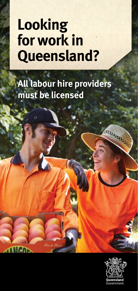## **Looking for work in Queensland?**

**All labour hire providers must be licensed**

Ó

**ANGO** 



**CONSULTANTS**